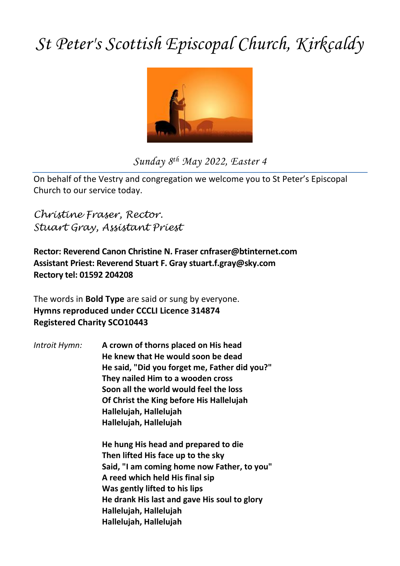# *St Peter's Scottish Episcopal Church, Kirkcaldy*



## *Sunday 8 th May 2022, Easter 4*

On behalf of the Vestry and congregation we welcome you to St Peter's Episcopal Church to our service today.

*Christine Fraser, Rector. Stuart Gray, Assistant Priest*

**Rector: Reverend Canon Christine N. Fraser cnfraser@btinternet.com Assistant Priest: Reverend Stuart F. Gray stuart.f.gray@sky.com Rectory tel: 01592 204208**

The words in **Bold Type** are said or sung by everyone. **Hymns reproduced under CCCLI Licence 314874 Registered Charity SCO10443**

*Introit Hymn:* **A crown of thorns placed on His head He knew that He would soon be dead He said, "Did you forget me, Father did you?" They nailed Him to a wooden cross Soon all the world would feel the loss Of Christ the King before His Hallelujah Hallelujah, Hallelujah Hallelujah, Hallelujah He hung His head and prepared to die**

**Then lifted His face up to the sky Said, "I am coming home now Father, to you" A reed which held His final sip Was gently lifted to his lips He drank His last and gave His soul to glory Hallelujah, Hallelujah Hallelujah, Hallelujah**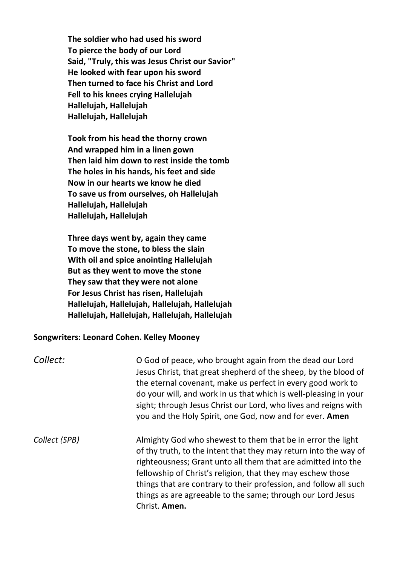**The soldier who had used his sword To pierce the body of our Lord Said, "Truly, this was Jesus Christ our Savior" He looked with fear upon his sword Then turned to face his Christ and Lord Fell to his knees crying Hallelujah Hallelujah, Hallelujah Hallelujah, Hallelujah**

**Took from his head the thorny crown And wrapped him in a linen gown Then laid him down to rest inside the tomb The holes in his hands, his feet and side Now in our hearts we know he died To save us from ourselves, oh Hallelujah Hallelujah, Hallelujah Hallelujah, Hallelujah**

**Three days went by, again they came To move the stone, to bless the slain With oil and spice anointing Hallelujah But as they went to move the stone They saw that they were not alone For Jesus Christ has risen, Hallelujah Hallelujah, Hallelujah, Hallelujah, Hallelujah Hallelujah, Hallelujah, Hallelujah, Hallelujah**

#### **Songwriters: Leonard Cohen. Kelley Mooney**

| Collect:      | O God of peace, who brought again from the dead our Lord<br>Jesus Christ, that great shepherd of the sheep, by the blood of<br>the eternal covenant, make us perfect in every good work to<br>do your will, and work in us that which is well-pleasing in your<br>sight; through Jesus Christ our Lord, who lives and reigns with<br>you and the Holy Spirit, one God, now and for ever. Amen                        |
|---------------|----------------------------------------------------------------------------------------------------------------------------------------------------------------------------------------------------------------------------------------------------------------------------------------------------------------------------------------------------------------------------------------------------------------------|
| Collect (SPB) | Almighty God who shewest to them that be in error the light<br>of thy truth, to the intent that they may return into the way of<br>righteousness; Grant unto all them that are admitted into the<br>fellowship of Christ's religion, that they may eschew those<br>things that are contrary to their profession, and follow all such<br>things as are agreeable to the same; through our Lord Jesus<br>Christ. Amen. |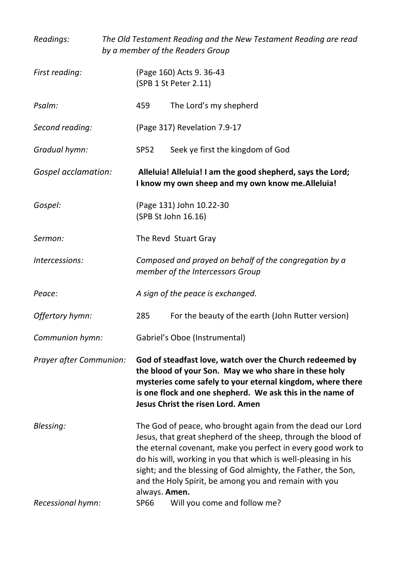| Readings:               | The Old Testament Reading and the New Testament Reading are read<br>by a member of the Readers Group |                                                                                                                                                                                                                                                                                                                                                                                                          |  |  |
|-------------------------|------------------------------------------------------------------------------------------------------|----------------------------------------------------------------------------------------------------------------------------------------------------------------------------------------------------------------------------------------------------------------------------------------------------------------------------------------------------------------------------------------------------------|--|--|
| First reading:          |                                                                                                      | (Page 160) Acts 9. 36-43<br>(SPB 1 St Peter 2.11)                                                                                                                                                                                                                                                                                                                                                        |  |  |
| Psalm:                  | 459                                                                                                  | The Lord's my shepherd                                                                                                                                                                                                                                                                                                                                                                                   |  |  |
| Second reading:         |                                                                                                      | (Page 317) Revelation 7.9-17                                                                                                                                                                                                                                                                                                                                                                             |  |  |
| Gradual hymn:           | <b>SP52</b>                                                                                          | Seek ye first the kingdom of God                                                                                                                                                                                                                                                                                                                                                                         |  |  |
| Gospel acclamation:     |                                                                                                      | Alleluia! Alleluia! I am the good shepherd, says the Lord;<br>I know my own sheep and my own know me. Alleluia!                                                                                                                                                                                                                                                                                          |  |  |
| Gospel:                 |                                                                                                      | (Page 131) John 10.22-30<br>(SPB St John 16.16)                                                                                                                                                                                                                                                                                                                                                          |  |  |
| Sermon:                 |                                                                                                      | The Revd Stuart Gray                                                                                                                                                                                                                                                                                                                                                                                     |  |  |
| Intercessions:          |                                                                                                      | Composed and prayed on behalf of the congregation by a<br>member of the Intercessors Group                                                                                                                                                                                                                                                                                                               |  |  |
| Peace:                  |                                                                                                      | A sign of the peace is exchanged.                                                                                                                                                                                                                                                                                                                                                                        |  |  |
| Offertory hymn:         | 285                                                                                                  | For the beauty of the earth (John Rutter version)                                                                                                                                                                                                                                                                                                                                                        |  |  |
| Communion hymn:         |                                                                                                      | Gabriel's Oboe (Instrumental)                                                                                                                                                                                                                                                                                                                                                                            |  |  |
| Prayer after Communion: |                                                                                                      | God of steadfast love, watch over the Church redeemed by<br>the blood of your Son. May we who share in these holy<br>mysteries come safely to your eternal kingdom, where there<br>is one flock and one shepherd. We ask this in the name of<br>Jesus Christ the risen Lord. Amen                                                                                                                        |  |  |
| Blessing:               |                                                                                                      | The God of peace, who brought again from the dead our Lord<br>Jesus, that great shepherd of the sheep, through the blood of<br>the eternal covenant, make you perfect in every good work to<br>do his will, working in you that which is well-pleasing in his<br>sight; and the blessing of God almighty, the Father, the Son,<br>and the Holy Spirit, be among you and remain with you<br>always. Amen. |  |  |
| Recessional hymn:       | SP66                                                                                                 | Will you come and follow me?                                                                                                                                                                                                                                                                                                                                                                             |  |  |